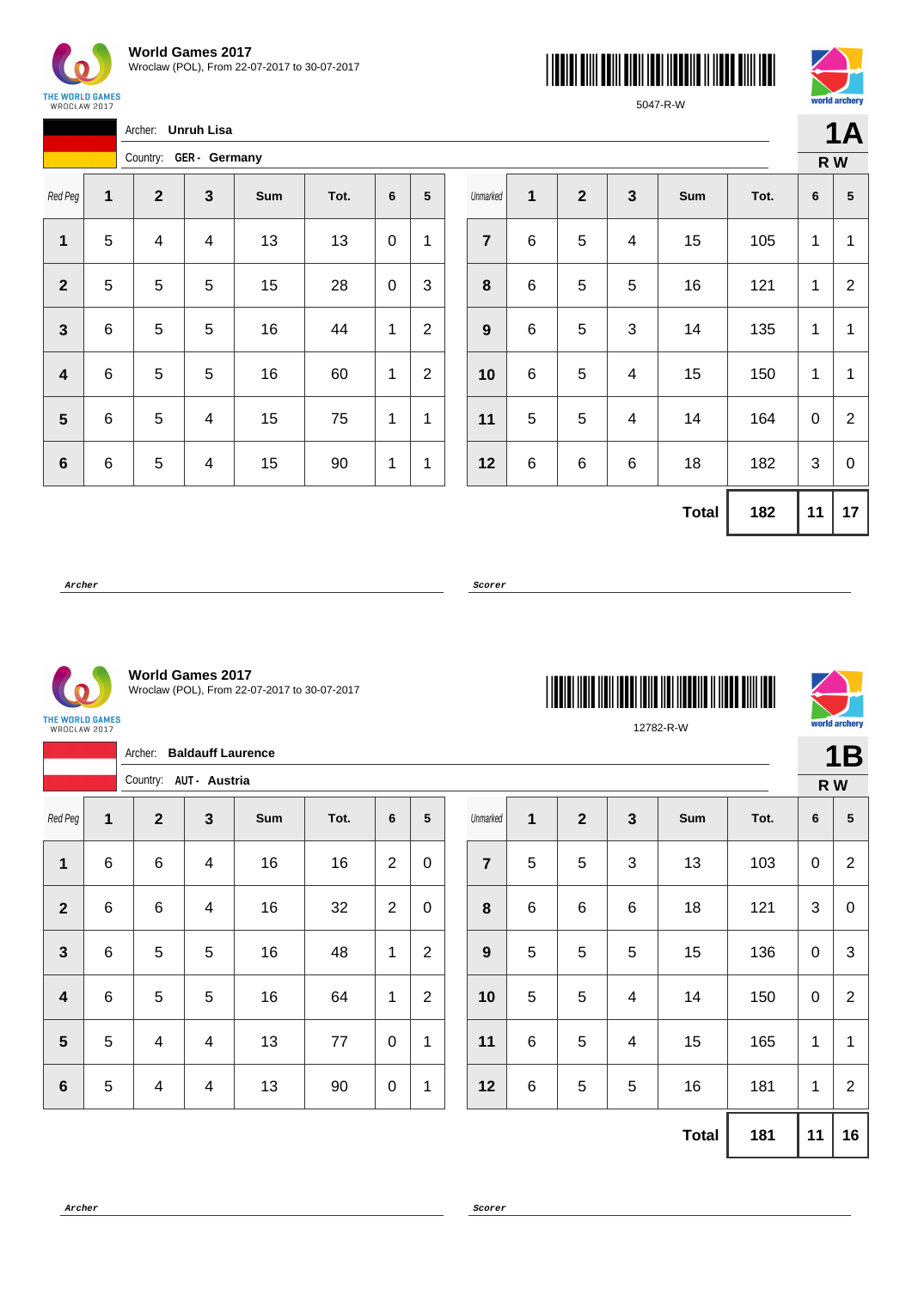

**STATISTICS** 





5047-R-W

|              |   | Archer: Unruh Lisa     |   |     |      |   |                |  |  |  |  |
|--------------|---|------------------------|---|-----|------|---|----------------|--|--|--|--|
|              |   | Country: GER - Germany |   |     |      |   |                |  |  |  |  |
| Red Peg      | 1 | $\boldsymbol{2}$       | 3 | Sum | Tot. | 6 | 5              |  |  |  |  |
| 1            | 5 | 4                      | 4 | 13  | 13   | 0 | 1              |  |  |  |  |
| $\mathbf{2}$ | 5 | 5                      | 5 | 15  | 28   | 0 | 3              |  |  |  |  |
| 3            | 6 | 5                      | 5 | 16  | 44   | 1 | $\overline{2}$ |  |  |  |  |
| 4            | 6 | 5                      | 5 | 16  | 60   | 1 | 2              |  |  |  |  |
| 5            | 6 | 5                      | 4 | 15  | 75   | 1 | 1              |  |  |  |  |
| 6            | 6 | 5                      | 4 | 15  | 90   | 1 | 1              |  |  |  |  |

|                  |   |              |                           |              |      |                           | R W            |
|------------------|---|--------------|---------------------------|--------------|------|---------------------------|----------------|
| Unmarked         | 1 | $\mathbf{2}$ | $\mathbf{3}$              | Sum          | Tot. | 6                         | ${\bf 5}$      |
| $\overline{7}$   | 6 | 5            | $\overline{\mathbf{4}}$   | 15           | 105  | 1                         | 1              |
| 8                | 6 | 5            | 5                         | 16           | 121  | 1                         | $\overline{2}$ |
| $\boldsymbol{9}$ | 6 | 5            | $\ensuremath{\mathsf{3}}$ | 14           | 135  | 1                         | 1              |
| 10               | 6 | 5            | $\overline{\mathbf{4}}$   | 15           | 150  | $\mathbf 1$               | 1              |
| 11               | 5 | 5            | 4                         | 14           | 164  | 0                         | $\overline{2}$ |
| 12               | 6 | 6            | 6                         | 18           | 182  | $\ensuremath{\mathsf{3}}$ | $\mathbf 0$    |
|                  |   |              |                           | <b>Total</b> | 182  | 11                        | 17             |

**Archer Scorer**



**World Games 2017** Wroclaw (POL), From 22-07-2017 to 30-07-2017

| THE WORLD GAMES |  |
|-----------------|--|
| WROCŁAW 2017    |  |
|                 |  |

|                         |                | Archer:                  | <b>Baldauff Laurence</b> |     |      |                |                |                  |            |                |              |              |      |                  | <b>1B</b>       |
|-------------------------|----------------|--------------------------|--------------------------|-----|------|----------------|----------------|------------------|------------|----------------|--------------|--------------|------|------------------|-----------------|
|                         |                | Country: AUT - Austria   |                          |     |      |                |                |                  |            |                |              |              |      | R W              |                 |
| Red Peg                 | 1              | $\mathbf{2}$             | $\mathbf{3}$             | Sum | Tot. | 6              | 5              | Unmarked         | 1          | $\overline{2}$ | $\mathbf{3}$ | Sum          | Tot. | $6\phantom{1}6$  | $5\phantom{.0}$ |
| $\mathbf{1}$            | $\,6$          | $\,6\,$                  | $\overline{4}$           | 16  | 16   | $\overline{2}$ | $\mathbf 0$    | $\overline{7}$   | $\sqrt{5}$ | 5              | 3            | 13           | 103  | $\pmb{0}$        | $\overline{2}$  |
| $\overline{2}$          | $\,6$          | $\,6\,$                  | $\overline{\mathbf{4}}$  | 16  | 32   | $\overline{2}$ | $\mathbf 0$    | $\pmb{8}$        | $\,6$      | $\,6\,$        | 6            | 18           | 121  | 3                | $\mathbf 0$     |
| $\mathbf{3}$            | $6\phantom{1}$ | 5                        | 5                        | 16  | 48   | 1              | $\overline{2}$ | $\boldsymbol{9}$ | $\sqrt{5}$ | 5              | 5            | 15           | 136  | $\pmb{0}$        | 3               |
| $\overline{\mathbf{4}}$ | $\,6$          | 5                        | 5                        | 16  | 64   | 1              | $\overline{2}$ | 10               | 5          | 5              | 4            | 14           | 150  | $\boldsymbol{0}$ | $\overline{2}$  |
| $5\phantom{1}$          | 5              | $\overline{\mathcal{A}}$ | $\overline{\mathcal{A}}$ | 13  | 77   | $\mathbf 0$    | 1              | 11               | $\,6$      | 5              | 4            | 15           | 165  | $\mathbf 1$      | 1               |
| $\boldsymbol{6}$        | $\sqrt{5}$     | $\overline{\mathcal{A}}$ | $\overline{\mathcal{A}}$ | 13  | 90   | $\mathbf 0$    | $\mathbf{1}$   | 12               | $\,6$      | $\mathbf 5$    | 5            | 16           | 181  | $\mathbf 1$      | $\overline{2}$  |
|                         |                |                          |                          |     |      |                |                |                  |            |                |              | <b>Total</b> | 181  | 11               | 16              |

**Archer Scorer**

\*12782-R-W\*



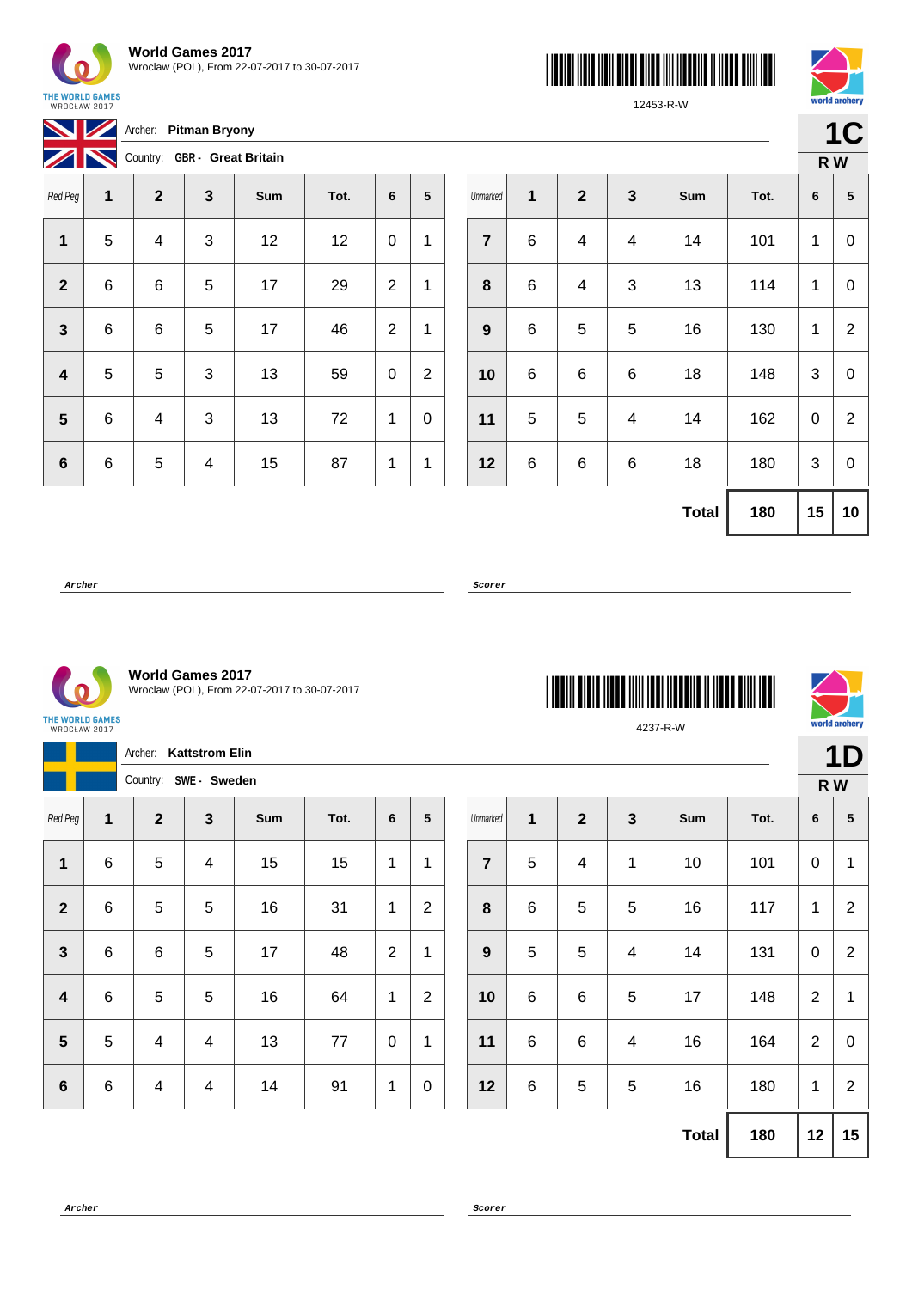





**1C**

 $\overline{N}$ 

|  | 12453-R-V |  |  |
|--|-----------|--|--|
|  |           |  |  |
|  |           |  |  |

THE WORLD GAMES<br>WROCŁAW 2017

**Archer: Pitman Bryony** 

Z R Country: **GBR - Great Britain**

| $\boldsymbol{Z}$<br>ш   | $\sim$ country. | $\sim$       |              | $5.541$ $5.1541$ |      |                |                |
|-------------------------|-----------------|--------------|--------------|------------------|------|----------------|----------------|
| Red Peg                 | 1               | $\mathbf{2}$ | $\mathbf{3}$ | Sum              | Tot. | 6              | ${\bf 5}$      |
| 1                       | 5               | 4            | $\sqrt{3}$   | 12               | 12   | 0              | 1              |
| $\mathbf{2}$            | 6               | 6            | 5            | 17               | 29   | $\overline{2}$ | 1              |
| 3                       | $\,6$           | 6            | $\mathbf 5$  | 17               | 46   | $\overline{2}$ | 1              |
| $\overline{\mathbf{4}}$ | 5               | 5            | $\sqrt{3}$   | 13               | 59   | 0              | $\overline{2}$ |
| 5                       | 6               | 4            | $\sqrt{3}$   | 13               | 72   | 1              | 0              |
| $6\phantom{1}6$         | 6               | 5            | 4            | 15               | 87   | 1              | 1              |

|                  |   |             |                         |              |      |    | R W             |
|------------------|---|-------------|-------------------------|--------------|------|----|-----------------|
| Unmarked         | 1 | $\mathbf 2$ | $\mathbf{3}$            | Sum          | Tot. | 6  | $\sqrt{5}$      |
| $\overline{7}$   | 6 | 4           | $\overline{\mathbf{4}}$ | 14           | 101  | 1  | 0               |
| 8                | 6 | 4           | 3                       | 13           | 114  | 1  | 0               |
| $\boldsymbol{9}$ | 6 | 5           | 5                       | 16           | 130  | 1  | $\overline{2}$  |
| 10               | 6 | 6           | 6                       | 18           | 148  | 3  | 0               |
| 11               | 5 | 5           | 4                       | 14           | 162  | 0  | $\overline{2}$  |
| 12               | 6 | 6           | 6                       | 18           | 180  | 3  | $\mathbf 0$     |
|                  |   |             |                         | <b>Total</b> | 180  | 15 | 10 <sub>1</sub> |

**Archer Scorer**



**World Games 2017** Wroclaw (POL), From 22-07-2017 to 30-07-2017

THE WORLD GAMES<br>WROCŁAW 2017

|                  |         |                | Archer: Kattstrom Elin  |     |      |                |                  |                  |         |                |              |              |      |                | <b>1D</b>       |
|------------------|---------|----------------|-------------------------|-----|------|----------------|------------------|------------------|---------|----------------|--------------|--------------|------|----------------|-----------------|
|                  |         |                | Country: SWE - Sweden   |     |      |                |                  |                  |         |                |              |              |      | R W            |                 |
| Red Peg          | 1       | $\mathbf{2}$   | $\mathbf{3}$            | Sum | Tot. | 6              | 5                | Unmarked         | 1       | $\overline{2}$ | $\mathbf{3}$ | Sum          | Tot. | 6              | $5\phantom{.0}$ |
| 1                | $\,6\,$ | 5              | $\overline{\mathbf{4}}$ | 15  | 15   | 1              | 1                | $\overline{7}$   | 5       | $\overline{4}$ | 1            | 10           | 101  | $\pmb{0}$      | 1               |
| $\overline{2}$   | $\,6\,$ | $\overline{5}$ | $\overline{5}$          | 16  | 31   | 1              | $\overline{2}$   | $\pmb{8}$        | $\,6\,$ | 5              | 5            | 16           | 117  | $\mathbf{1}$   | 2               |
| $\mathbf{3}$     | $\,6$   | 6              | $\overline{5}$          | 17  | 48   | $\overline{2}$ | $\mathbf{1}$     | $\boldsymbol{9}$ | 5       | 5              | 4            | 14           | 131  | $\pmb{0}$      | 2               |
| $\boldsymbol{4}$ | $\,6$   | 5              | $\overline{5}$          | 16  | 64   | 1              | $\overline{2}$   | 10               | 6       | 6              | 5            | 17           | 148  | $\overline{2}$ | 1               |
| $5\phantom{1}$   | 5       | $\overline{4}$ | 4                       | 13  | 77   | $\pmb{0}$      | 1                | 11               | 6       | 6              | 4            | 16           | 164  | 2              | $\mathbf 0$     |
| $6\phantom{1}$   | $\,6\,$ | $\overline{4}$ | $\overline{\mathbf{4}}$ | 14  | 91   | 1              | $\boldsymbol{0}$ | 12               | 6       | 5              | 5            | 16           | 180  | $\mathbf{1}$   | 2               |
|                  |         |                |                         |     |      |                |                  |                  |         |                |              | <b>Total</b> | 180  | 12             | 15              |



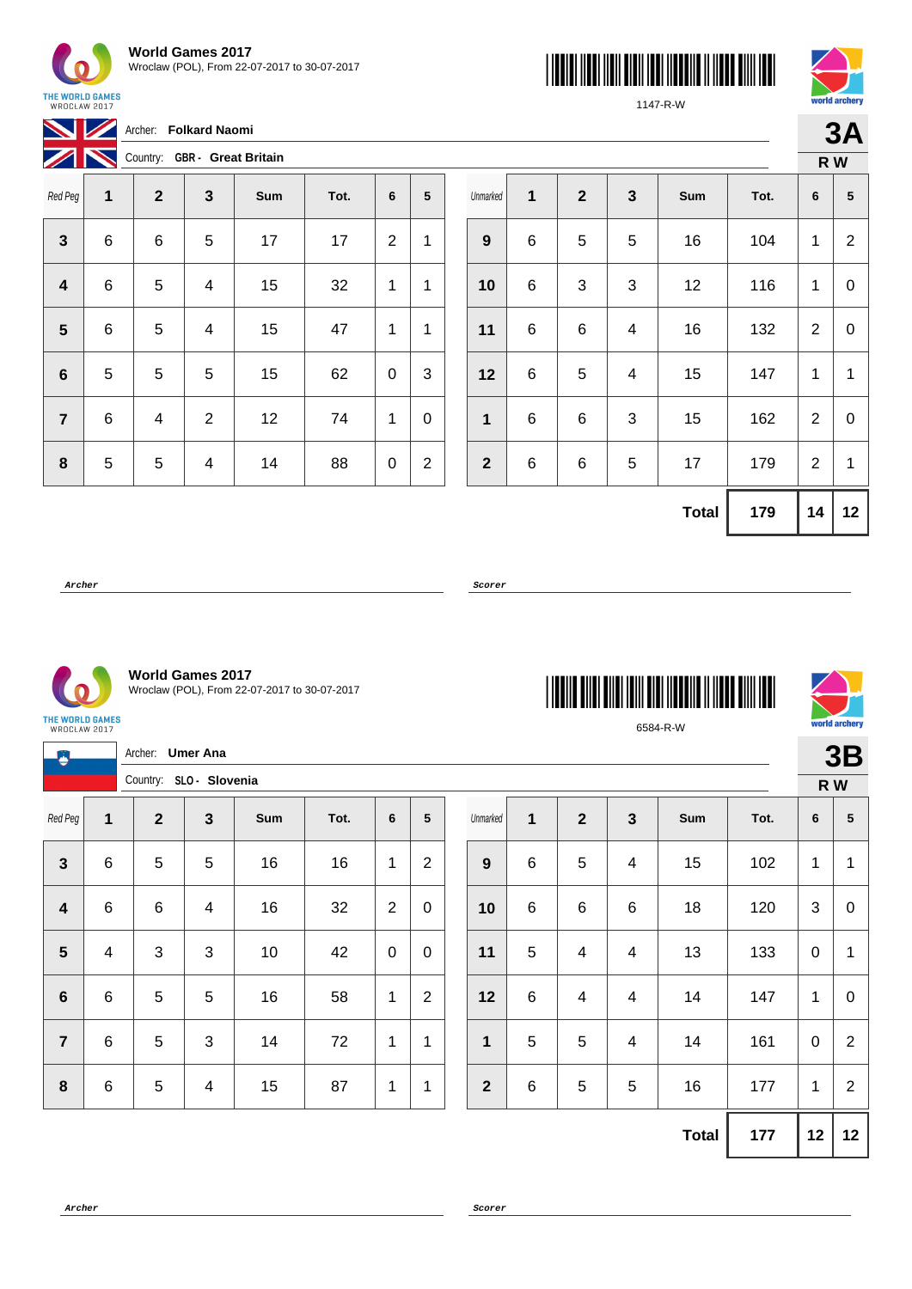





**3A**

1147-R-W

|                |   | Archer: Folkard Naomi        |   |     |      |                |                |  |  |  |  |
|----------------|---|------------------------------|---|-----|------|----------------|----------------|--|--|--|--|
|                |   | Country: GBR - Great Britain |   |     |      |                |                |  |  |  |  |
| Red Peg        | 1 | $\mathbf{2}$                 | 3 | Sum | Tot. | 6              | 5              |  |  |  |  |
| 3              | 6 | 6                            | 5 | 17  | 17   | $\overline{2}$ | 1              |  |  |  |  |
| 4              | 6 | 5                            | 4 | 15  | 32   | 1              | 1              |  |  |  |  |
| 5              | 6 | 5                            | 4 | 15  | 47   | 1              | 1              |  |  |  |  |
| 6              | 5 | 5                            | 5 | 15  | 62   | 0              | 3              |  |  |  |  |
| $\overline{7}$ | 6 | 4                            | 2 | 12  | 74   | 1              | 0              |  |  |  |  |
| 8              | 5 | 5                            | 4 | 14  | 88   | 0              | $\overline{2}$ |  |  |  |  |

|                  |   |              |                           |              |      | R W            |                  |
|------------------|---|--------------|---------------------------|--------------|------|----------------|------------------|
| Unmarked         | 1 | $\mathbf{2}$ | $\mathbf{3}$              | Sum          | Tot. | 6              | ${\bf 5}$        |
| $\boldsymbol{9}$ | 6 | 5            | 5                         | 16           | 104  | 1              | $\overline{2}$   |
| 10               | 6 | 3            | $\mathbf{3}$              | 12           | 116  | 1              | $\boldsymbol{0}$ |
| 11               | 6 | 6            | $\overline{\mathbf{4}}$   | 16           | 132  | 2              | 0                |
| 12               | 6 | 5            | $\overline{\mathbf{4}}$   | 15           | 147  | 1              | 1                |
| $\mathbf{1}$     | 6 | 6            | $\ensuremath{\mathsf{3}}$ | 15           | 162  | $\overline{2}$ | $\boldsymbol{0}$ |
| $\mathbf{2}$     | 6 | 6            | 5                         | 17           | 179  | $\mathbf{2}$   | 1                |
|                  |   |              |                           | <b>Total</b> | 179  | 14             | 12               |

6584-R-W

**Archer Scorer**

THE WORLD GAMES<br>WROCŁAW 2017



**World Games 2017** Wroclaw (POL), From 22-07-2017 to 30-07-2017

THE WORLD GAMES<br>WROCŁAW 2017

|                         |                | <b>Umer Ana</b><br>Archer:<br>Country: SLO - Slovenia |                         |     |      |                |                |  |                |                |                |                |              |      | 3B           |              |
|-------------------------|----------------|-------------------------------------------------------|-------------------------|-----|------|----------------|----------------|--|----------------|----------------|----------------|----------------|--------------|------|--------------|--------------|
|                         |                |                                                       |                         |     |      |                |                |  |                |                |                |                |              |      | R W          |              |
| Red Peg                 | $\mathbf{1}$   | $\overline{\mathbf{2}}$                               | $\mathbf{3}$            | Sum | Tot. | 6              | 5              |  | Unmarked       | 1              | $\overline{2}$ | $\mathbf{3}$   | Sum          | Tot. | 6            | ${\bf 5}$    |
| $\mathbf{3}$            | $\,6\,$        | 5                                                     | $\sqrt{5}$              | 16  | 16   | 1              | $\overline{c}$ |  | 9              | $6\phantom{1}$ | 5              | $\overline{4}$ | 15           | 102  | 1            | $\mathbf 1$  |
| $\overline{\mathbf{4}}$ | $\,6\,$        | $\,6\,$                                               | $\overline{\mathbf{4}}$ | 16  | 32   | $\overline{2}$ | $\mathbf 0$    |  | 10             | $\,6$          | 6              | 6              | 18           | 120  | 3            | $\mathbf 0$  |
| $5\phantom{1}$          | $\overline{4}$ | $\mathbf{3}$                                          | $\sqrt{3}$              | 10  | 42   | $\mathbf 0$    | $\mathbf 0$    |  | 11             | $\sqrt{5}$     | 4              | $\overline{4}$ | 13           | 133  | $\mathbf 0$  | $\mathbf{1}$ |
| $\boldsymbol{6}$        | $\,6\,$        | 5                                                     | $\sqrt{5}$              | 16  | 58   | 1              | $\overline{2}$ |  | 12             | $\,6$          | 4              | 4              | 14           | 147  | 1            | $\mathbf 0$  |
| $\overline{7}$          | $\,6$          | $\sqrt{5}$                                            | $\sqrt{3}$              | 14  | 72   | 1              | 1              |  | $\mathbf{1}$   | 5              | 5              | 4              | 14           | 161  | $\mathbf 0$  | $\sqrt{2}$   |
| $\boldsymbol{8}$        | $\,6\,$        | $\sqrt{5}$                                            | $\overline{\mathbf{4}}$ | 15  | 87   | 1              | 1              |  | $\overline{2}$ | $\,6$          | 5              | 5              | 16           | 177  | $\mathbf{1}$ | $\sqrt{2}$   |
|                         |                |                                                       |                         |     |      |                |                |  |                |                |                |                | <b>Total</b> | 177  | 12           | 12           |

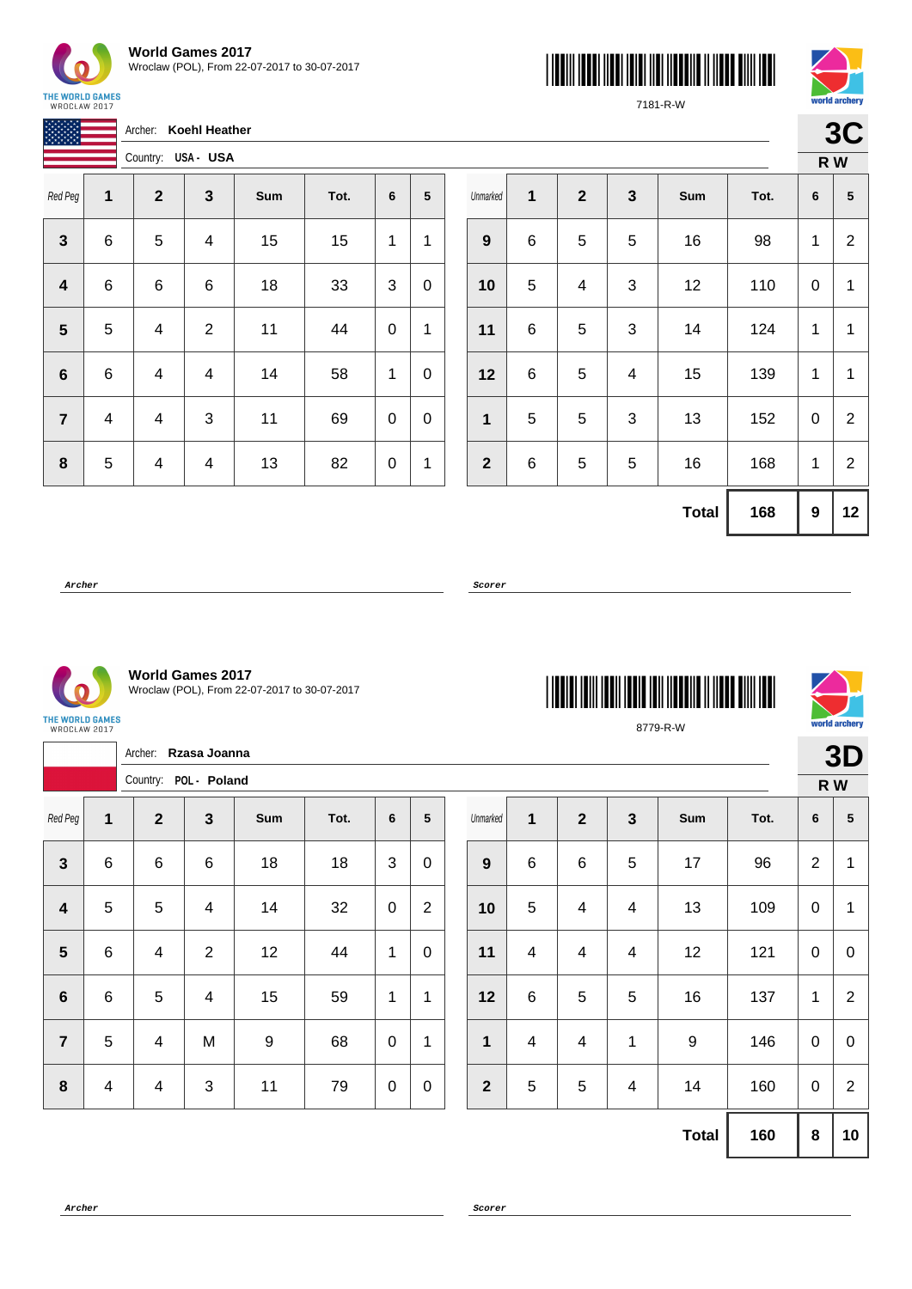

| <b>World Games 2017</b>                      |
|----------------------------------------------|
| Wroclaw (POL), From 22-07-2017 to 30-07-2017 |





7181-R-W

**3C R W**

|                |   | Archer:      | Koehl Heather      |     |      |   |   |
|----------------|---|--------------|--------------------|-----|------|---|---|
|                |   |              | Country: USA - USA |     |      |   |   |
| Red Peg        | 1 | $\mathbf{2}$ | 3                  | Sum | Tot. | 6 | 5 |
| 3              | 6 | 5            | 4                  | 15  | 15   | 1 | 1 |
| 4              | 6 | 6            | 6                  | 18  | 33   | 3 | 0 |
| 5              | 5 | 4            | $\overline{2}$     | 11  | 44   | 0 | 1 |
| 6              | 6 | 4            | 4                  | 14  | 58   | 1 | 0 |
| $\overline{7}$ | 4 | 4            | 3                  | 11  | 69   | 0 | 0 |
| 8              | 5 | 4            | 4                  | 13  | 82   | 0 | 1 |

|                  |              |              |                           |              |      |   | K W                     |
|------------------|--------------|--------------|---------------------------|--------------|------|---|-------------------------|
| Unmarked         | $\mathbf{1}$ | $\mathbf{2}$ | $\mathbf{3}$              | Sum          | Tot. | 6 | $\overline{\mathbf{5}}$ |
| $\boldsymbol{9}$ | 6            | 5            | 5                         | 16           | 98   | 1 | $\overline{2}$          |
| 10               | 5            | 4            | 3                         | 12           | 110  | 0 | $\mathbf{1}$            |
| 11               | 6            | 5            | $\ensuremath{\mathsf{3}}$ | 14           | 124  | 1 | $\mathbf{1}$            |
| 12               | 6            | $\mathbf 5$  | 4                         | 15           | 139  | 1 | 1                       |
| $\mathbf 1$      | 5            | 5            | 3                         | 13           | 152  | 0 | $\overline{2}$          |
| $\mathbf{2}$     | 6            | 5            | 5                         | 16           | 168  | 1 | $\overline{2}$          |
|                  |              |              |                           | <b>Total</b> | 168  | 9 | 12 <sub>2</sub>         |

8779-R-W

**Archer Scorer**



**World Games 2017** Wroclaw (POL), From 22-07-2017 to 30-07-2017

THE WORLD GAMES<br>WROCŁAW 2017

|                         |                         | Archer: Rzasa Joanna<br>Country: POL - Poland |                         |                  |      |                |                |                  |                          |                         |                         |                  |      |                 | 3D          |
|-------------------------|-------------------------|-----------------------------------------------|-------------------------|------------------|------|----------------|----------------|------------------|--------------------------|-------------------------|-------------------------|------------------|------|-----------------|-------------|
|                         |                         |                                               |                         |                  |      |                |                |                  |                          |                         |                         |                  |      |                 | R W         |
| Red Peg                 | 1                       | $\overline{\mathbf{2}}$                       | $\mathbf{3}$            | Sum              | Tot. | $6\phantom{1}$ | 5              | Unmarked         | 1                        | $\overline{2}$          | $\overline{\mathbf{3}}$ | Sum              | Tot. | $6\phantom{1}6$ | $\sqrt{5}$  |
| $\mathbf{3}$            | $\,6$                   | 6                                             | $\,6$                   | 18               | 18   | 3              | $\mathbf 0$    | $\boldsymbol{9}$ | $\,6\,$                  | $\,6\,$                 | 5                       | 17               | 96   | $\overline{2}$  | 1           |
| $\overline{\mathbf{4}}$ | 5                       | 5                                             | $\overline{\mathbf{4}}$ | 14               | 32   | $\mathbf 0$    | $\overline{2}$ | 10               | 5                        | $\overline{4}$          | 4                       | 13               | 109  | $\pmb{0}$       | 1           |
| $5\phantom{.0}$         | $6\phantom{1}$          | $\overline{4}$                                | 2                       | 12               | 44   | 1              | $\mathbf 0$    | 11               | $\overline{4}$           | $\overline{4}$          | 4                       | 12               | 121  | $\mathbf 0$     | $\mathbf 0$ |
| $\bf 6$                 | $\,6$                   | 5                                             | $\overline{\mathbf{4}}$ | 15               | 59   | 1              | 1              | 12               | $\,6\,$                  | 5                       | 5                       | 16               | 137  | $\mathbf{1}$    | 2           |
| $\overline{7}$          | 5                       | 4                                             | M                       | $\boldsymbol{9}$ | 68   | $\mathbf 0$    | $\mathbf{1}$   | 1                | $\overline{\mathcal{A}}$ | $\overline{\mathbf{4}}$ | 1                       | $\boldsymbol{9}$ | 146  | $\pmb{0}$       | $\mathbf 0$ |
| 8                       | $\overline{\mathbf{4}}$ | $\overline{4}$                                | $\mathbf{3}$            | 11               | 79   | $\pmb{0}$      | $\mathbf 0$    | $\overline{2}$   | 5                        | $\overline{5}$          | 4                       | 14               | 160  | $\pmb{0}$       | 2           |
|                         |                         |                                               |                         |                  |      |                |                |                  |                          |                         |                         | <b>Total</b>     | 160  | $\pmb{8}$       | 10          |

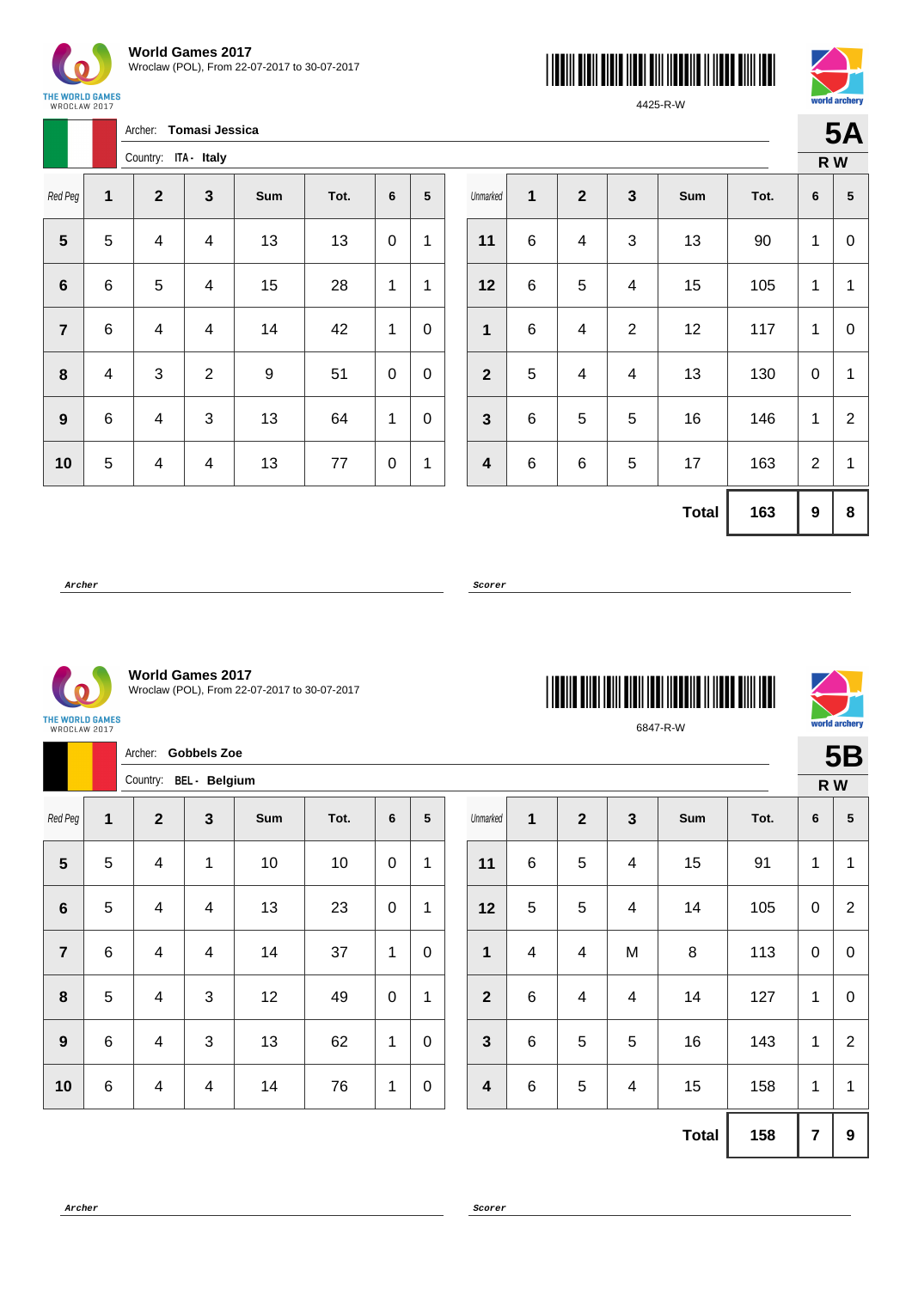





4425-R-W

**5A**

|                |   | Archer:      | Tomasi Jessica |     |      |   |                 |
|----------------|---|--------------|----------------|-----|------|---|-----------------|
|                |   | Country:     | ITA - Italy    |     |      |   |                 |
| Red Peg        | 1 | $\mathbf{2}$ | $\mathbf 3$    | Sum | Tot. | 6 | $5\phantom{.0}$ |
| 5              | 5 | 4            | 4              | 13  | 13   | 0 | 1               |
| 6              | 6 | 5            | 4              | 15  | 28   | 1 | 1               |
| $\overline{7}$ | 6 | 4            | 4              | 14  | 42   | 1 | 0               |
| 8              | 4 | 3            | $\overline{2}$ | 9   | 51   | 0 | 0               |
| 9              | 6 | 4            | 3              | 13  | 64   | 1 | 0               |
| 10             | 5 | 4            | 4              | 13  | 77   | 0 | 1               |

|                         |   |                  |                           |              |      | R W            |                |
|-------------------------|---|------------------|---------------------------|--------------|------|----------------|----------------|
| Unmarked                | 1 | $\boldsymbol{2}$ | $\mathbf{3}$              | Sum          | Tot. | 6              | ${\bf 5}$      |
| 11                      | 6 | 4                | $\ensuremath{\mathsf{3}}$ | 13           | 90   | 1              | 0              |
| 12                      | 6 | $\mathbf 5$      | 4                         | 15           | 105  | 1              | 1              |
| 1                       | 6 | 4                | $\overline{2}$            | 12           | 117  | 1              | 0              |
| $\mathbf{2}$            | 5 | 4                | $\overline{4}$            | 13           | 130  | 0              | $\mathbf{1}$   |
| $\mathbf{3}$            | 6 | 5                | 5                         | 16           | 146  | 1              | $\overline{2}$ |
| $\overline{\mathbf{4}}$ | 6 | 6                | 5                         | 17           | 163  | $\overline{2}$ | $\mathbf{1}$   |
|                         |   |                  |                           | <b>Total</b> | 163  | 9              | 8              |

\*6847-R-W\*

6847-R-W

**Archer Scorer**

 $\Omega$ 

**World Games 2017** Wroclaw (POL), From 22-07-2017 to 30-07-2017

THE WORLD GAMES WROCŁAW 2017

Archer: **Gobbels Zoe** Country: **BEL - Belgium 5B R W** Red Peg **1 2 3 Sum Tot. 6 5**  $\begin{array}{|c|c|c|c|c|c|} \hline \textbf{5} & \textbf{5} & \textbf{4} & \textbf{1} & \textbf{1} & \textbf{10} & \textbf{10} & \textbf{0} & \textbf{11} \ \hline \end{array}$  | 5 | 4 | 4 | 13 | 23 | 0 | 1 | 6 | 4 | 4 | 14 | 37 | 1 | 0 | 5 | 4 | 3 | 12 | 49 | 0 | 1 | 6 | 4 | 3 | 13 | 62 | 1 | 0 6 4 4 4 14 76 1 0 Unmarked **1 2 3 Sum Tot. 6 5** | 6 | 5 | 4 | 15 | 91 | 1 | 1 | 5 | 5 | 4 | 14 | 105 | 0 | 2 | 4 | 4 | M | 8 | 113 | 0 | 0 | 6 | 4 | 4 | 14 | 127 | 1 | 0 | 6 | 5 | 5 | 16 | 143 | 1 | 2 | 6 | 5 | 4 | 15 | 158 | 1 | 1

**Archer Scorer**



**Total 158 7 9**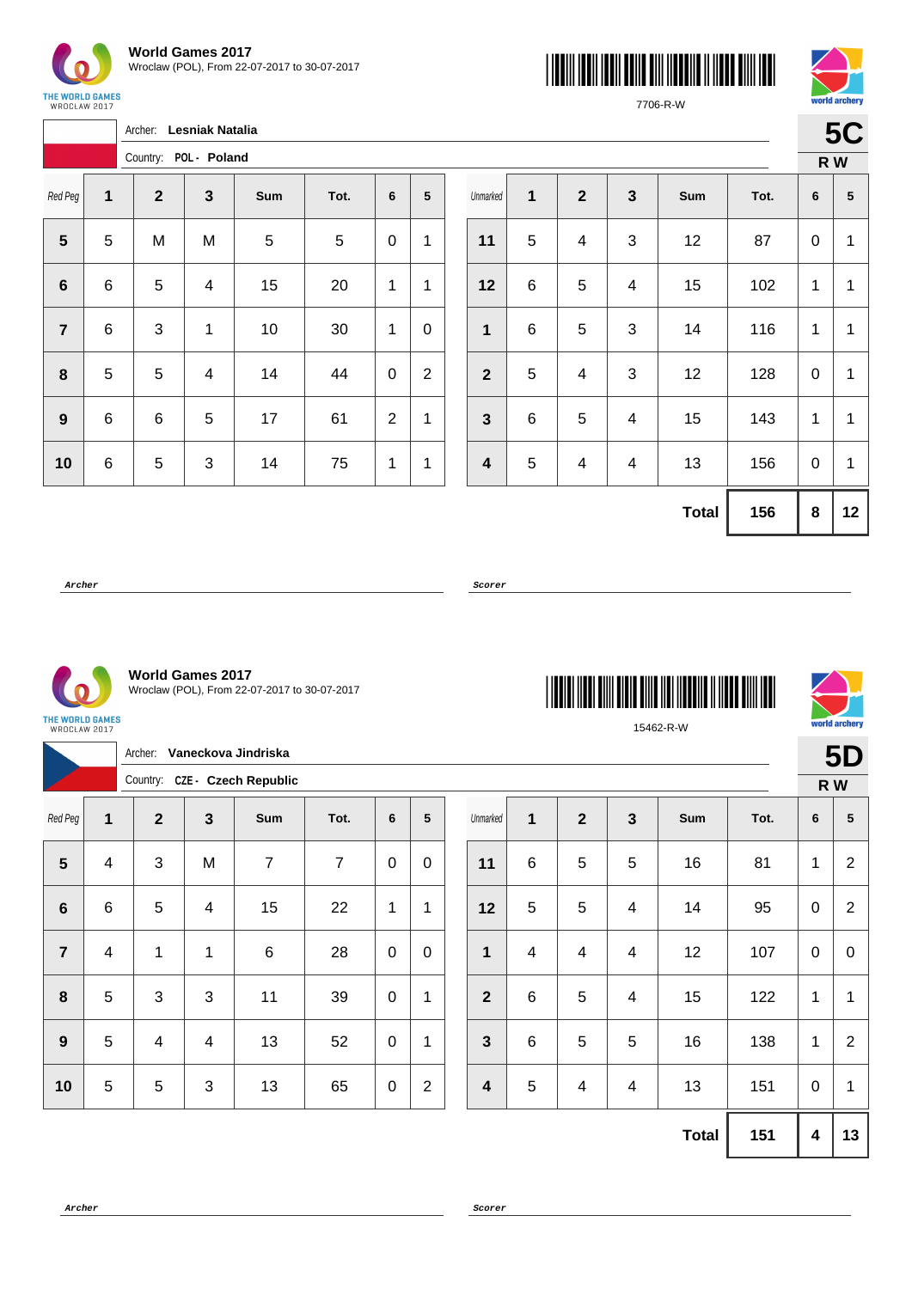

 $\sqrt{ }$ 

Archer: **Lesniak Natalia**





7706-R-W

| ۰ |  |
|---|--|
|   |  |

|                  |   |                           | Country: POL - Poland |     |      |   |                |
|------------------|---|---------------------------|-----------------------|-----|------|---|----------------|
| Red Peg          | 1 | $\mathbf{2}$              | $\mathbf{3}$          | Sum | Tot. | 6 | 5              |
| $5\phantom{1}$   | 5 | M                         | M                     | 5   | 5    | 0 | 1              |
| $6\phantom{1}6$  | 6 | 5                         | 4                     | 15  | 20   | 1 | 1              |
| $\overline{7}$   | 6 | $\ensuremath{\mathsf{3}}$ | 1                     | 10  | 30   | 1 | 0              |
| 8                | 5 | 5                         | 4                     | 14  | 44   | 0 | $\overline{2}$ |
| $\boldsymbol{9}$ | 6 | 6                         | 5                     | 17  | 61   | 2 | 1              |
| 10               | 6 | 5                         | 3                     | 14  | 75   | 1 | 1              |

|                         |       |                         |                           |              |      |   | R W             |
|-------------------------|-------|-------------------------|---------------------------|--------------|------|---|-----------------|
| Unmarked                | 1     | $\mathbf{2}$            | $\mathbf{3}$              | Sum          | Tot. | 6 | $\sqrt{5}$      |
| 11                      | 5     | $\overline{\mathbf{4}}$ | 3                         | 12           | 87   | 0 | $\mathbf{1}$    |
| 12                      | $\,6$ | 5                       | 4                         | 15           | 102  | 1 | 1               |
| $\mathbf 1$             | $\,6$ | $\mathbf 5$             | $\ensuremath{\mathsf{3}}$ | 14           | 116  | 1 | $\mathbf{1}$    |
| $\overline{2}$          | 5     | 4                       | 3                         | 12           | 128  | 0 | 1               |
| 3                       | $\,6$ | 5                       | 4                         | 15           | 143  | 1 | $\mathbf{1}$    |
| $\overline{\mathbf{4}}$ | 5     | 4                       | 4                         | 13           | 156  | 0 | $\mathbf{1}$    |
|                         |       |                         |                           | <b>Total</b> | 156  | 8 | 12 <sub>2</sub> |

**Archer Scorer**



**World Games 2017** Wroclaw (POL), From 22-07-2017 to 30-07-2017

Archer: **Vaneckova Jindriska** Country: **CZE - Czech Republic**

| <b>THE REAL PROPERTY OF STATE</b> |
|-----------------------------------|
| 15462-R-W                         |



**5D**

|                |                | Archer:        |              | Vaneckova Jindriska           |      |             |                |              |                 |                |                |              |      |              | 5D              |  |
|----------------|----------------|----------------|--------------|-------------------------------|------|-------------|----------------|--------------|-----------------|----------------|----------------|--------------|------|--------------|-----------------|--|
|                |                |                |              | Country: CZE - Czech Republic |      |             |                |              |                 |                |                |              |      |              | R W             |  |
| Red Peg        | $\mathbf{1}$   | $\overline{2}$ | $\mathbf{3}$ | Sum                           | Tot. | 6           | 5              | Unmarked     | $\mathbf 1$     | $\overline{2}$ | $\mathbf{3}$   | Sum          | Tot. | 6            | $5\phantom{.0}$ |  |
| $5\phantom{1}$ | $\overline{4}$ | $\mathbf{3}$   | M            | $\overline{7}$                | 7    | $\mathbf 0$ | 0              | 11           | 6               | $\mathbf 5$    | $\overline{5}$ | 16           | 81   | $\mathbf{1}$ | $\overline{2}$  |  |
| $\bf 6$        | 6              | 5              | 4            | 15                            | 22   | 1           | 1              | 12           | 5               | $\mathbf 5$    | $\overline{4}$ | 14           | 95   | $\mathbf 0$  | $\overline{2}$  |  |
| $\overline{7}$ | $\overline{4}$ | 1              | 1            | $\,6$                         | 28   | $\pmb{0}$   | 0              | 1            | $\overline{4}$  | 4              | $\overline{4}$ | 12           | 107  | $\mathbf 0$  | $\overline{0}$  |  |
| 8              | 5              | 3              | 3            | 11                            | 39   | $\pmb{0}$   | 1              | $\mathbf{2}$ | $6\phantom{1}6$ | 5              | $\overline{4}$ | 15           | 122  | $\mathbf{1}$ | 1               |  |
| 9              | 5              | 4              | 4            | 13                            | 52   | $\pmb{0}$   | 1              | $\mathbf{3}$ | 6               | 5              | $\overline{5}$ | 16           | 138  | 1            | $\overline{2}$  |  |
| 10             | 5              | 5              | $\mathbf{3}$ | 13                            | 65   | $\mathbf 0$ | $\overline{2}$ | 4            | 5               | 4              | $\overline{4}$ | 13           | 151  | $\mathbf 0$  | 1               |  |
|                |                |                |              |                               |      |             |                |              |                 |                |                | <b>Total</b> | 151  | 4            | 13              |  |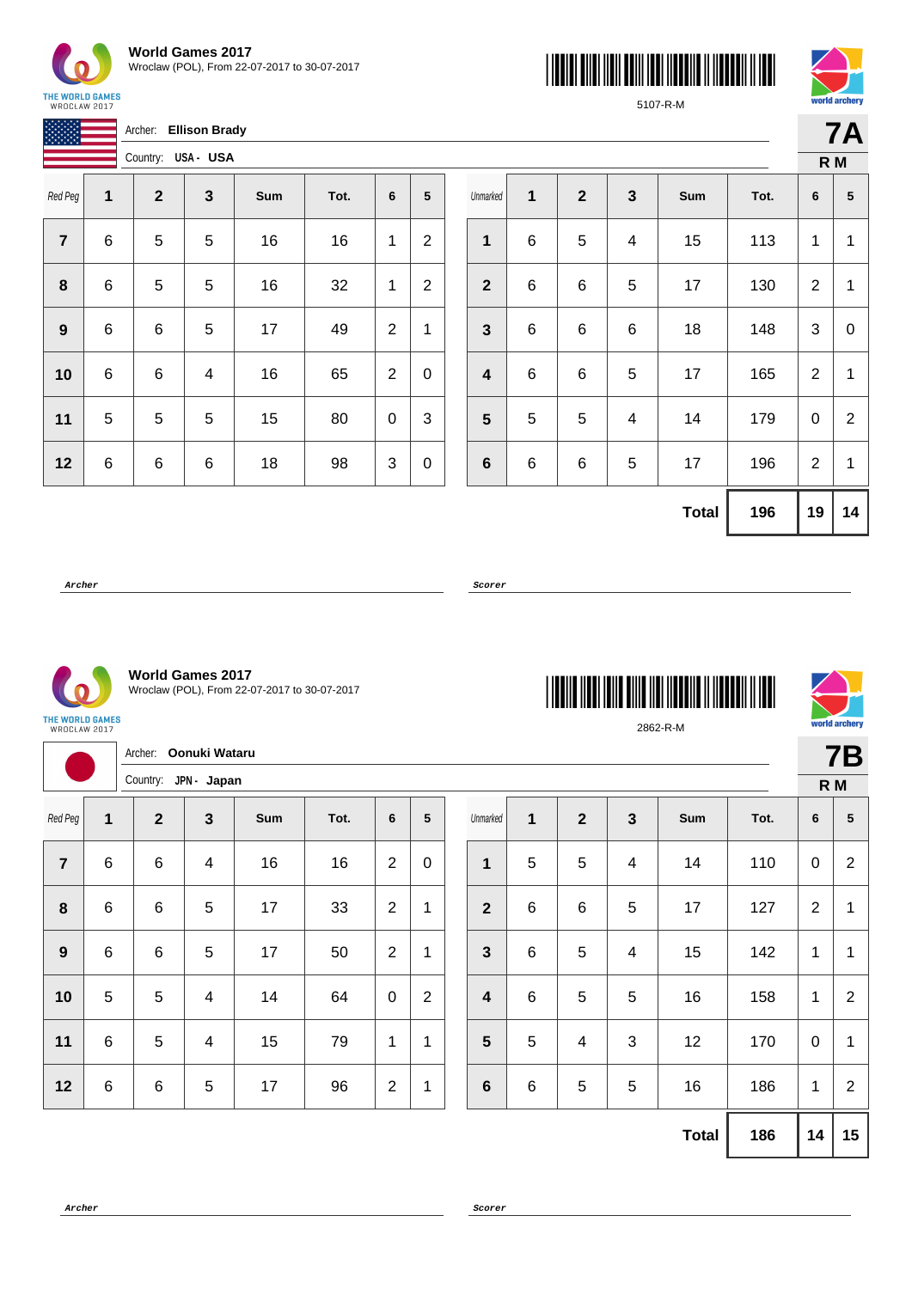

**World Games 2017** Wroclaw (POL), From 22-07-2017 to 30-07-2017





5107-R-M

**7A**

|                         |   | Archer:      | <b>Ellison Brady</b> |     |      |                |                |
|-------------------------|---|--------------|----------------------|-----|------|----------------|----------------|
|                         |   | Country:     | USA- USA             |     |      |                |                |
| Red Peg                 | 1 | $\mathbf{2}$ | $\mathbf{3}$         | Sum | Tot. | 6              | 5              |
| $\overline{\mathbf{r}}$ | 6 | 5            | 5                    | 16  | 16   | 1              | $\overline{2}$ |
| 8                       | 6 | 5            | 5                    | 16  | 32   | 1              | $\overline{c}$ |
| 9                       | 6 | 6            | 5                    | 17  | 49   | $\overline{2}$ | 1              |
| 10                      | 6 | 6            | 4                    | 16  | 65   | 2              | 0              |
| 11                      | 5 | 5            | 5                    | 15  | 80   | 0              | 3              |
| 12                      | 6 | 6            | 6                    | 18  | 98   | 3              | 0              |

|                |             |              |              |              |      | R M            |                |
|----------------|-------------|--------------|--------------|--------------|------|----------------|----------------|
| Unmarked       | 1           | $\mathbf{2}$ | $\mathbf{3}$ | Sum          | Tot. | 6              | ${\bf 5}$      |
| 1              | $\,$ 6 $\,$ | $\mathbf 5$  | 4            | 15           | 113  | 1              | 1              |
| $\mathbf{2}$   | 6           | 6            | 5            | 17           | 130  | $\overline{2}$ | $\mathbf{1}$   |
| $\mathbf{3}$   | $\,6$       | 6            | 6            | 18           | 148  | 3              | 0              |
| 4              | $\,6$       | 6            | 5            | 17           | 165  | 2              | 1              |
| $5\phantom{1}$ | 5           | 5            | 4            | 14           | 179  | 0              | $\overline{2}$ |
| 6              | $\,$ 6 $\,$ | 6            | 5            | 17           | 196  | $\overline{2}$ | $\mathbf{1}$   |
|                |             |              |              | <b>Total</b> | 196  | 19             | 14             |

**Archer Scorer**



**World Games 2017** Wroclaw (POL), From 22-07-2017 to 30-07-2017

THE WORLD GAMES<br>WROCŁAW 2017

|                |            | Archer: Oonuki Wataru<br>Country: JPN - Japan |                          |     |      |                |                |                         |                |                |              |              |      |                  | <b>7E</b>      |  |
|----------------|------------|-----------------------------------------------|--------------------------|-----|------|----------------|----------------|-------------------------|----------------|----------------|--------------|--------------|------|------------------|----------------|--|
|                |            |                                               |                          |     |      |                |                |                         |                |                |              |              |      |                  | R M            |  |
| Red Peg        | 1          | $\overline{2}$                                | $\mathbf{3}$             | Sum | Tot. | 6              | 5              | Unmarked                | 1              | $\overline{2}$ | $\mathbf{3}$ | Sum          | Tot. | $6\phantom{1}6$  | 5              |  |
| $\overline{7}$ | 6          | $\,6$                                         | $\overline{\mathbf{4}}$  | 16  | 16   | $\overline{2}$ | $\mathbf 0$    | $\mathbf{1}$            | $\overline{5}$ | 5              | 4            | 14           | 110  | $\mathbf 0$      | $\overline{c}$ |  |
| 8              | 6          | $\,6$                                         | 5                        | 17  | 33   | $\overline{2}$ | 1              | $\overline{2}$          | $6\phantom{1}$ | $\,6$          | 5            | 17           | 127  | $\overline{2}$   | 1              |  |
| 9              | $\,6$      | $\,6$                                         | 5                        | 17  | 50   | $\overline{2}$ | 1              | $\mathbf{3}$            | $\,6\,$        | 5              | 4            | 15           | 142  | 1                | 1              |  |
| 10             | $\sqrt{5}$ | 5                                             | $\overline{\mathcal{A}}$ | 14  | 64   | $\mathbf 0$    | $\overline{2}$ | $\overline{\mathbf{4}}$ | $\,6$          | 5              | 5            | 16           | 158  | 1                | $\overline{c}$ |  |
| 11             | 6          | 5                                             | $\overline{\mathbf{4}}$  | 15  | 79   | 1              | 1              | $5\phantom{1}$          | 5              | $\overline{4}$ | $\sqrt{3}$   | 12           | 170  | $\boldsymbol{0}$ | 1              |  |
| 12             | 6          | $\,6$                                         | 5                        | 17  | 96   | $\overline{2}$ | $\mathbf 1$    | $6\phantom{1}$          | $\,6\,$        | 5              | 5            | 16           | 186  | 1                | $\overline{c}$ |  |
|                |            |                                               |                          |     |      |                |                |                         |                |                |              | <b>Total</b> | 186  | 14               | $\vert$ 1      |  |





**7B**

**Total 186 14 15**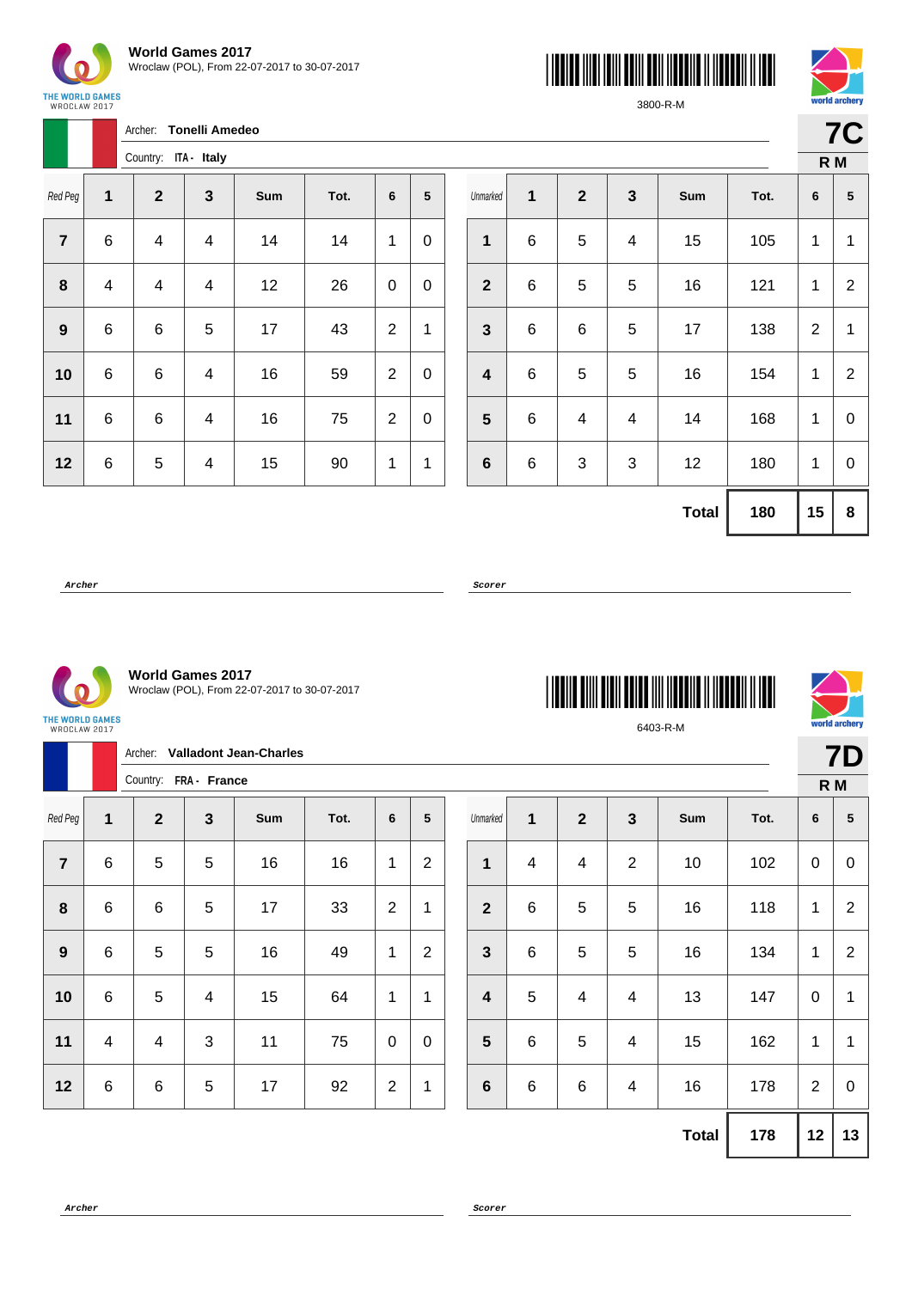

Archer: **Tonelli Amedeo**





3800-R-M

| TUHU GI VIIVI Y |  |
|-----------------|--|
|                 |  |
|                 |  |
| . .<br>м<br>٠   |  |

|                |                         | Country:     | ITA - Italy |                         |     |      |                |   |
|----------------|-------------------------|--------------|-------------|-------------------------|-----|------|----------------|---|
| Red Peg        | 1                       | $\mathbf{2}$ |             | 3                       | Sum | Tot. | 6              | 5 |
| $\overline{7}$ | 6                       | 4            |             | 4                       | 14  | 14   | 1              | 0 |
| 8              | $\overline{\mathbf{4}}$ | 4            |             | $\overline{\mathbf{4}}$ | 12  | 26   | 0              | 0 |
| 9              | 6                       | $\,6$        |             | 5                       | 17  | 43   | $\overline{2}$ | 1 |
| 10             | 6                       | 6            |             | 4                       | 16  | 59   | $\overline{2}$ | 0 |
| 11             | 6                       | 6            |             | 4                       | 16  | 75   | $\overline{2}$ | 0 |
| 12             | 6                       | 5            |             | 4                       | 15  | 90   | 1              | 1 |

|                         |             |              |                           |              |      | R M          |                |
|-------------------------|-------------|--------------|---------------------------|--------------|------|--------------|----------------|
| Unmarked                | 1           | $\mathbf{2}$ | $\mathbf{3}$              | Sum          | Tot. | 6            | ${\bf 5}$      |
| 1                       | $\,6$       | 5            | $\overline{\mathbf{4}}$   | 15           | 105  | 1            | $\mathbf{1}$   |
| $\boldsymbol{2}$        | $\,6$       | $\mathbf 5$  | 5                         | 16           | 121  | 1            | $\overline{2}$ |
| $\mathbf{3}$            | $\,$ 6 $\,$ | 6            | 5                         | 17           | 138  | $\mathbf{2}$ | $\mathbf{1}$   |
| $\overline{\mathbf{4}}$ | $\,$ 6 $\,$ | 5            | 5                         | 16           | 154  | 1            | $\overline{2}$ |
| 5                       | 6           | 4            | 4                         | 14           | 168  | 1            | 0              |
| $\bf 6$                 | 6           | 3            | $\ensuremath{\mathsf{3}}$ | 12           | 180  |              | $\mathbf 0$    |
|                         |             |              |                           | <b>Total</b> | 180  | 15           | 8              |

**Archer Scorer**



**World Games 2017** Wroclaw (POL), From 22-07-2017 to 30-07-2017

| <b>THE REAL PROPERTY OF A SET OF A SET OF A SET OF A SET OF A SET OF A SET OF A SET OF A SET OF A SET OF A SET O</b> |  |  |  |  |  |  |  |  |  |  |
|----------------------------------------------------------------------------------------------------------------------|--|--|--|--|--|--|--|--|--|--|
| 6403-R-M                                                                                                             |  |  |  |  |  |  |  |  |  |  |



|                  | <b>Valladont Jean-Charles</b><br>Archer: |                       |                |     |      |                |                |  |                         |                         |                          |                         |              |      | <b>7D</b>      |                |
|------------------|------------------------------------------|-----------------------|----------------|-----|------|----------------|----------------|--|-------------------------|-------------------------|--------------------------|-------------------------|--------------|------|----------------|----------------|
|                  |                                          | Country: FRA - France |                |     |      |                |                |  |                         |                         |                          |                         |              |      | $R$ M          |                |
| Red Peg          | 1                                        | $\mathbf{2}$          | $\mathbf{3}$   | Sum | Tot. | 6              | 5              |  | Unmarked                | $\mathbf 1$             | $\overline{2}$           | $\mathbf{3}$            | Sum          | Tot. | 6              | 5              |
| $\overline{7}$   | $\,6\,$                                  | 5                     | $\sqrt{5}$     | 16  | 16   | $\mathbf 1$    | $\overline{2}$ |  | 1                       | $\overline{\mathbf{4}}$ | $\overline{\mathcal{A}}$ | $\overline{2}$          | 10           | 102  | $\pmb{0}$      | $\mathbf 0$    |
| $\boldsymbol{8}$ | $\,6\,$                                  | 6                     | $\sqrt{5}$     | 17  | 33   | $\overline{2}$ | 1              |  | $\mathbf{2}$            | $\,6$                   | 5                        | $\overline{5}$          | 16           | 118  | 1              | $\overline{2}$ |
| 9                | $\,6\,$                                  | $\sqrt{5}$            | $\sqrt{5}$     | 16  | 49   | $\mathbf 1$    | 2              |  | 3                       | $\,6$                   | 5                        | $\overline{5}$          | 16           | 134  | $\mathbf{1}$   | 2              |
| 10               | $\,6\,$                                  | 5                     | $\overline{4}$ | 15  | 64   | 1              | 1              |  | $\overline{\mathbf{4}}$ | $\sqrt{5}$              | 4                        | $\overline{4}$          | 13           | 147  | $\pmb{0}$      | 1              |
| 11               | $\overline{4}$                           | 4                     | 3              | 11  | 75   | $\mathbf 0$    | $\mathbf 0$    |  | 5                       | $\,6$                   | 5                        | $\overline{\mathbf{4}}$ | 15           | 162  | $\mathbf{1}$   | 1              |
| 12               | $\,6\,$                                  | 6                     | $\sqrt{5}$     | 17  | 92   | $\overline{2}$ | 1              |  | $\bf 6$                 | $\,6$                   | $\,6\,$                  | $\overline{4}$          | 16           | 178  | $\overline{2}$ | $\mathbf 0$    |
|                  |                                          |                       |                |     |      |                |                |  |                         |                         |                          |                         | <b>Total</b> | 178  | 12             | 13             |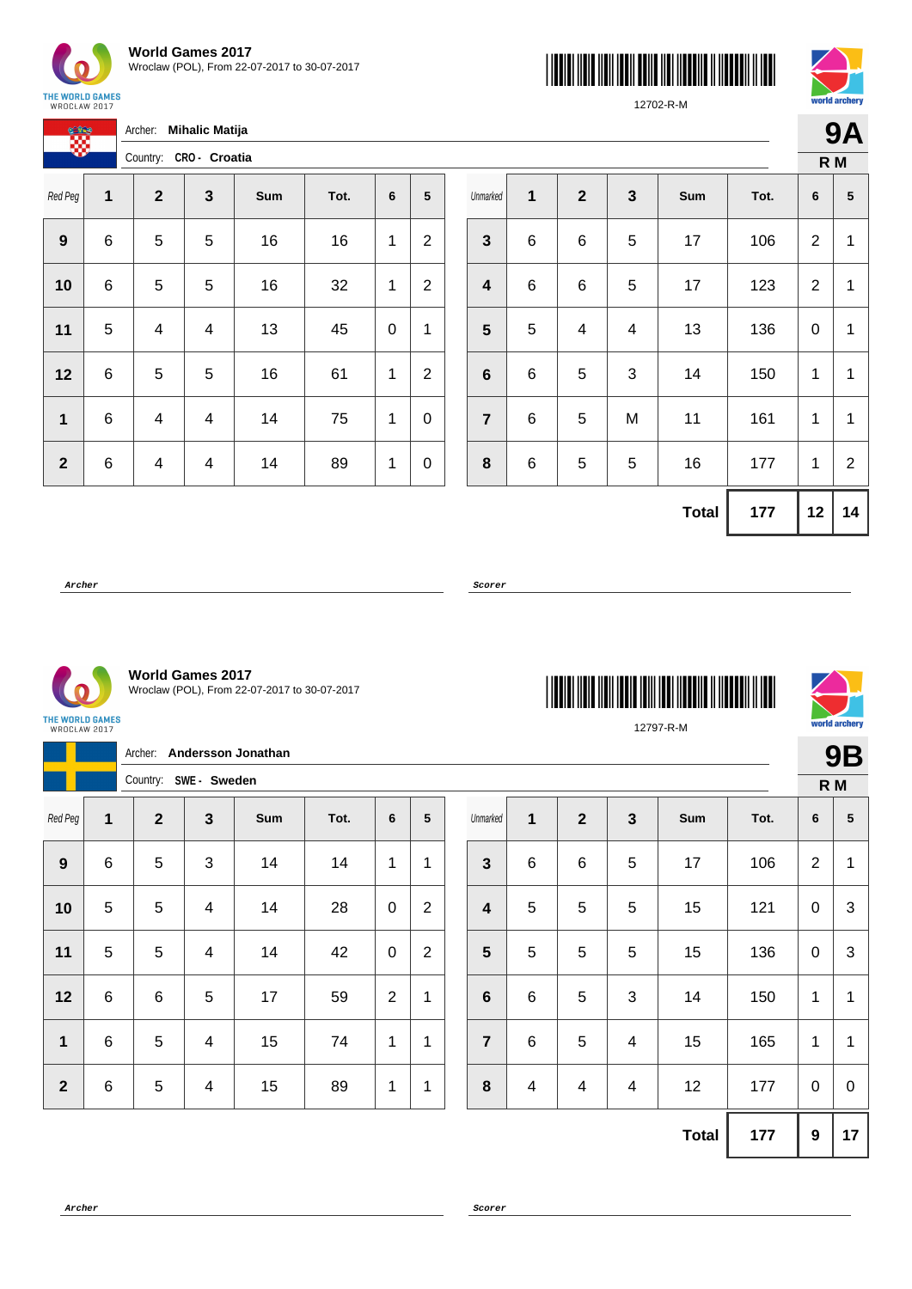

| <b>World Games 2017</b>                      |
|----------------------------------------------|
| Wroclaw (POL), From 22-07-2017 to 30-07-2017 |





12702-R-M

|              |   | Archer:<br><b>Mihalic Matija</b> |         |     |      |   |                 |  |  |  |  |  |
|--------------|---|----------------------------------|---------|-----|------|---|-----------------|--|--|--|--|--|
|              |   | Country: CRO- Croatia            |         |     |      |   |                 |  |  |  |  |  |
| Red Peg      | 1 | $\mathbf{2}$                     | 3       | Sum | Tot. | 6 | $5\phantom{.0}$ |  |  |  |  |  |
| 9            | 6 | 5                                | 5       | 16  | 16   | 1 | $\overline{2}$  |  |  |  |  |  |
| 10           | 6 | 5                                | 5       | 16  | 32   | 1 | $\overline{2}$  |  |  |  |  |  |
| 11           | 5 | 4                                | 13<br>4 |     | 45   | 0 | 1               |  |  |  |  |  |
| 12           | 6 | 5                                | 5       | 16  | 61   | 1 | $\overline{2}$  |  |  |  |  |  |
| 1            | 6 | 4                                | 4       | 14  | 75   | 1 | 0               |  |  |  |  |  |
| $\mathbf{2}$ | 6 | 4                                | 4       | 14  | 89   | 1 | 0               |  |  |  |  |  |

|                 |             |              |              |              |      | R M            |                |  |
|-----------------|-------------|--------------|--------------|--------------|------|----------------|----------------|--|
| Unmarked        | 1           | $\mathbf{2}$ | $\mathbf{3}$ | Sum          | Tot. | 6              | ${\bf 5}$      |  |
| $\mathbf{3}$    | $\,6$       | 6            | 5            | 17           | 106  | $\overline{2}$ | $\mathbf{1}$   |  |
| 4               | $\,6$       | 6            | 5            | 17           | 123  | $\overline{2}$ | 1              |  |
| 5               | 5           | 4            | 4            | 13           | 136  | 0              | 1              |  |
| $6\phantom{1}6$ | 6           | 5            | 3            | 14           | 150  | 1              | 1              |  |
| $\overline{7}$  | 6           | 5            | M            | 11           | 161  | 1              | 1              |  |
| 8               | $\,$ 6 $\,$ | $\mathbf 5$  | 5            | 16           | 177  | 1              | $\overline{2}$ |  |
|                 |             |              |              | <b>Total</b> | 177  | 12             | 14             |  |

**Archer Scorer**

THE WORLD GAMES<br>WROCŁAW 2017

**World Games 2017** Wroclaw (POL), From 22-07-2017 to 30-07-2017

Archer: **Andersson Jonathan**





12797-R-M

**9B**

|                  |   | Country:<br>SWE - Sweden |                           |     |      |                |              |  |  |  |  |  |
|------------------|---|--------------------------|---------------------------|-----|------|----------------|--------------|--|--|--|--|--|
| Red Peg          | 1 | $\mathbf{2}$             | 3                         | Sum | Tot. | 6              | ${\bf 5}$    |  |  |  |  |  |
| $\boldsymbol{9}$ | 6 | 5                        | $\ensuremath{\mathsf{3}}$ | 14  | 14   | 1              | 1            |  |  |  |  |  |
| 10               | 5 | 5                        | 4                         | 14  | 28   | 0              | $\mathbf{2}$ |  |  |  |  |  |
| 11               | 5 | 5                        | 4                         | 14  | 42   | 0              | $\mathbf{2}$ |  |  |  |  |  |
| 12               | 6 | 6                        | 5                         | 17  | 59   | $\overline{2}$ | 1            |  |  |  |  |  |
| 1                | 6 | 5                        | 4                         | 15  | 74   | 1              | 1            |  |  |  |  |  |
| $\boldsymbol{2}$ | 6 | 5                        | 4                         | 15  | 89   | 1              | 1            |  |  |  |  |  |

|                         |                         |                         |   |              |      | R M            |                           |
|-------------------------|-------------------------|-------------------------|---|--------------|------|----------------|---------------------------|
| Unmarked                | 1                       | $\mathbf{2}$            | 3 | Sum          | Tot. | 6              | ${\bf 5}$                 |
| $\mathbf{3}$            | 6                       | 6                       | 5 | 17           | 106  | $\overline{2}$ | 1                         |
| $\overline{\mathbf{4}}$ | $\mathbf 5$             | 5                       | 5 | 15           | 121  | 0              | $\ensuremath{\mathsf{3}}$ |
| $\overline{\mathbf{5}}$ | 5                       | 5                       | 5 | 15           | 136  | 0              | 3                         |
| $\bf 6$                 | $\,6$                   | 5                       | 3 | 14           | 150  | 1              | 1                         |
| $\overline{7}$          | 6                       | 5                       | 4 | 15           | 165  | 1              | 1                         |
| $\bf8$                  | $\overline{\mathbf{4}}$ | $\overline{\mathbf{4}}$ | 4 | 12           | 177  | 0              | 0                         |
|                         |                         |                         |   | <b>Total</b> | 177  | 9              | 17                        |
|                         |                         |                         |   |              |      |                |                           |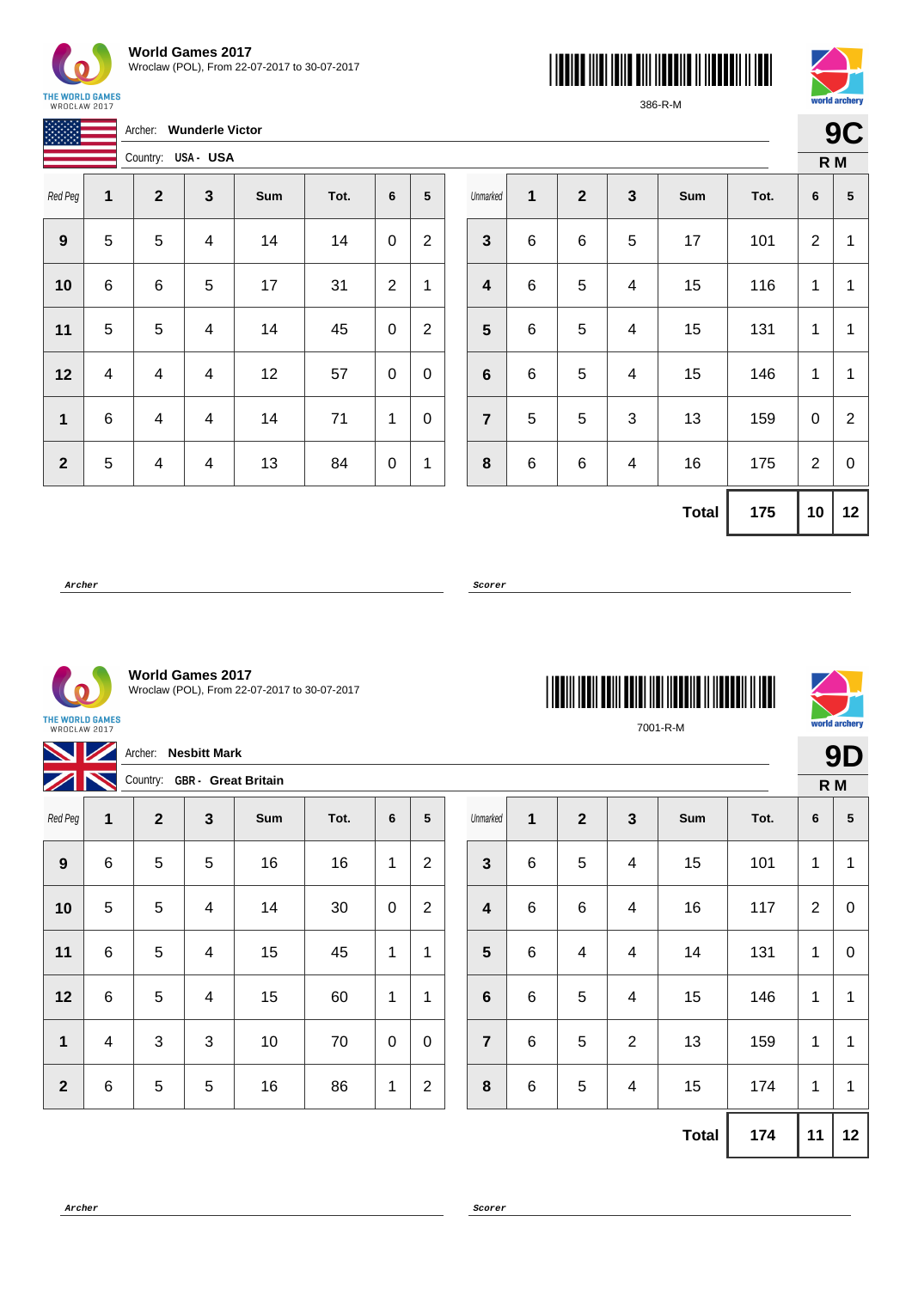

3388

| <b>World Games 2017</b>                      |
|----------------------------------------------|
| Wroclaw (POL), From 22-07-2017 to 30-07-2017 |

Archer: **Wunderle Victor**





386-R-M

| í,<br>I<br>ø |
|--------------|
|              |

| IN MARKEN    |   | USA- USA<br>Country: |                         |     |      |                |                |  |  |  |
|--------------|---|----------------------|-------------------------|-----|------|----------------|----------------|--|--|--|
| Red Peg      | 1 | $\mathbf{2}$         | $\mathbf{3}$            | Sum | Tot. | 6              | 5              |  |  |  |
| 9            | 5 | 5                    | $\overline{\mathbf{4}}$ | 14  | 14   | 0              | $\overline{2}$ |  |  |  |
| 10           | 6 | 6                    | 5                       | 17  | 31   | $\overline{2}$ | 1              |  |  |  |
| 11           | 5 | 5                    | $\overline{\mathbf{4}}$ | 14  | 45   | 0              | $\overline{2}$ |  |  |  |
| 12           | 4 | 4                    | 4                       | 12  | 57   | 0              | 0              |  |  |  |
| 1            | 6 | 4                    | $\overline{\mathbf{4}}$ | 14  | 71   | 1              | 0              |  |  |  |
| $\mathbf{2}$ | 5 | 4                    | 4                       | 13  | 84   | 0              | 1              |  |  |  |

| Unmarked                | 1 | $\boldsymbol{2}$ | $\mathbf{3}$            | Sum          | Tot. | 6              | $\overline{\mathbf{5}}$ |  |  |  |
|-------------------------|---|------------------|-------------------------|--------------|------|----------------|-------------------------|--|--|--|
| $\mathbf{3}$            | 6 | 6                | 5                       | 17           | 101  | $\overline{2}$ | 1                       |  |  |  |
| $\overline{\mathbf{4}}$ | 6 | 5                | $\overline{\mathbf{4}}$ | 15           | 116  | 1              | $\mathbf{1}$            |  |  |  |
| $5\phantom{1}$          | 6 | 5                | 4                       | 15           | 131  | 1              | 1                       |  |  |  |
| $\bf 6$                 | 6 | 5                | $\overline{\mathbf{4}}$ | 15           | 146  | 1              | 1                       |  |  |  |
| $\overline{7}$          | 5 | 5                | $\sqrt{3}$              | 13           | 159  | 0              | $\overline{2}$          |  |  |  |
| 8                       | 6 | 6                | 4                       | 16           | 175  | $\overline{2}$ | 0                       |  |  |  |
|                         |   |                  |                         | <b>Total</b> | 175  | 10             | 12                      |  |  |  |

**Archer Scorer**

**World Games 2017** Wroclaw (POL), From 22-07-2017 to 30-07-2017

THE WORLD GAMES<br>WROCŁAW 2017

| NZ                                         |   | Archer:         | <b>Nesbitt Mark</b> |     |      |              |                |  |                         |         |                |                         |     |      |                 | 9D             |
|--------------------------------------------|---|-----------------|---------------------|-----|------|--------------|----------------|--|-------------------------|---------|----------------|-------------------------|-----|------|-----------------|----------------|
| $\sqrt{N}$<br>Country: GBR - Great Britain |   |                 |                     |     |      |              |                |  |                         |         |                | $R$ M                   |     |      |                 |                |
| Red Peg                                    | 1 | $\overline{2}$  | $\mathbf{3}$        | Sum | Tot. | 6            | 5              |  | Unmarked                | 1       | $\overline{2}$ | $\mathbf{3}$            | Sum | Tot. | $6\phantom{1}6$ | $5\phantom{1}$ |
| 9                                          | 6 | 5               | 5                   | 16  | 16   | 1            | $\overline{2}$ |  | $\mathbf{3}$            | 6       | 5              | 4                       | 15  | 101  | 1               | $\overline{1}$ |
| 10                                         | 5 | $5\phantom{.0}$ | 4                   | 14  | 30   | $\pmb{0}$    | $\overline{2}$ |  | $\overline{\mathbf{4}}$ | $\,6\,$ | $\,6$          | $\overline{\mathbf{4}}$ | 16  | 117  | $\overline{2}$  | $\mathbf 0$    |
| 11                                         | 6 | 5               | 4                   | 15  | 45   | $\mathbf{1}$ | 1              |  | $5\phantom{1}$          | 6       | 4              | 4                       | 14  | 131  | 1               | $\mathbf 0$    |
| 12                                         | 6 | $5\phantom{.0}$ | 4                   | 15  | 60   | $\mathbf{1}$ | $\mathbf{1}$   |  | $6\phantom{1}6$         | 6       | 5              | 4                       | 15  | 146  | 1               | $\overline{1}$ |
| 1                                          | 4 | 3               | 3                   | 10  | 70   | $\mathbf 0$  | $\mathbf 0$    |  | $\overline{7}$          | 6       | 5              | $\overline{2}$          | 13  | 159  | 1               | $\overline{1}$ |
| $\overline{2}$                             | 6 | $\overline{5}$  | 5                   | 16  | 86   | $\mathbf{1}$ | $\overline{2}$ |  | 8                       | 6       | 5              | 4                       | 15  | 174  | 1               | $\overline{1}$ |
|                                            |   |                 |                     |     |      |              |                |  |                         |         |                |                         |     |      |                 |                |

**Total 174 11 12**



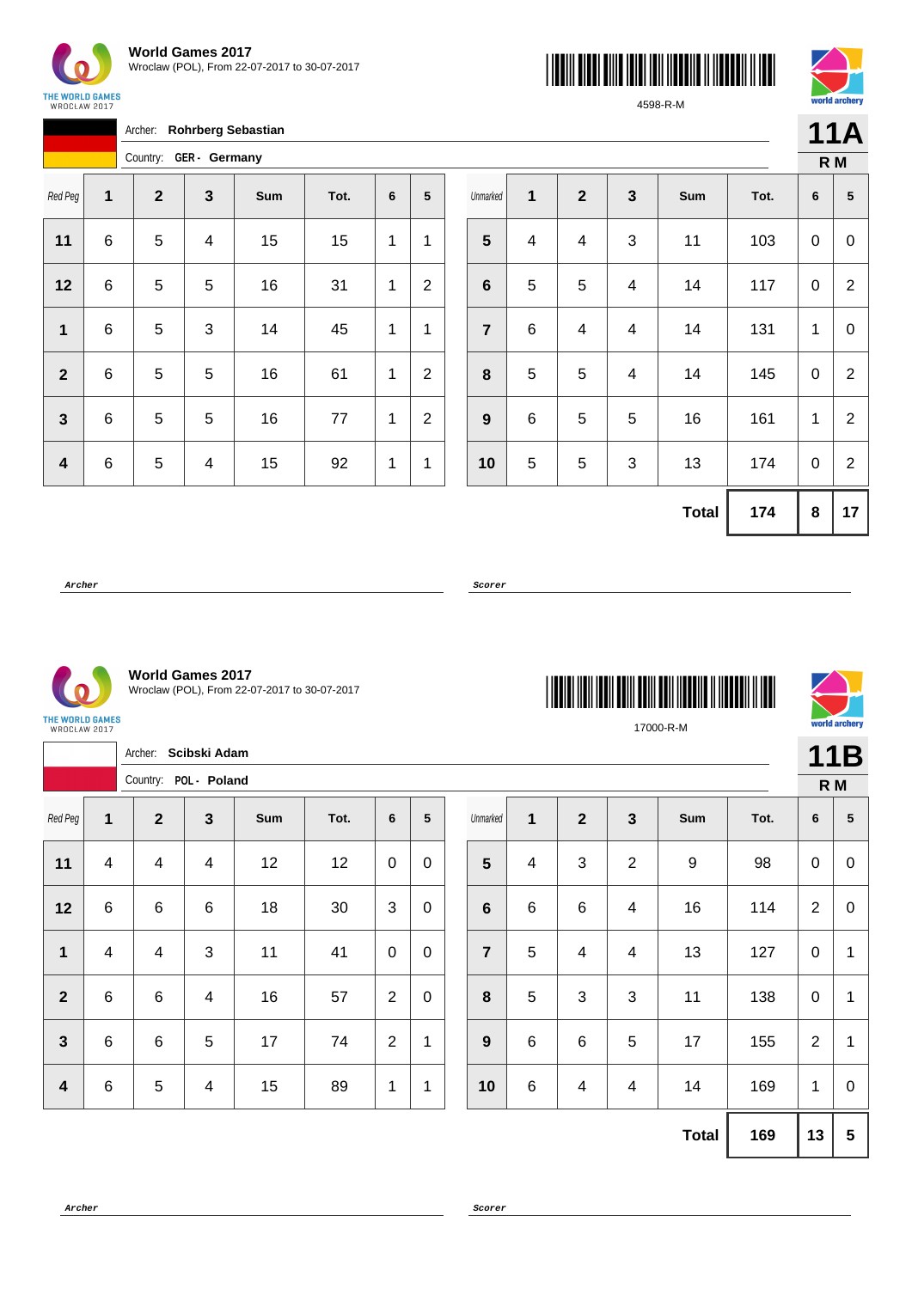

Archer: **Rohrberg Sebastian**





4598-R-M

|     | 11A |
|-----|-----|
|     |     |
| R M |     |

Country: **GER - Germany** Red Peg **1 2 3 Sum Tot. 6 5** | 6 | 5 | 4 | 15 | 15 | 1 | 1 | 6 | 5 | 5 | 16 | 31 | 1 | 2 | 6 | 5 | 3 | 14 | 45 | 1 | 1 | 6 | 5 | 5 | 16 | 61 | 1 | 2 | 6 | 5 | 5 | 16 | 77 | 1 | 2 | 6 | 5 | 4 | 15 | 92 | 1 | 1

| Unmarked                | 1                       | $\mathbf 2$ | $\mathbf{3}$              | Sum          | Tot. | 6 | 5                |  |  |  |
|-------------------------|-------------------------|-------------|---------------------------|--------------|------|---|------------------|--|--|--|
| $\overline{\mathbf{5}}$ | $\overline{\mathbf{4}}$ | 4           | 3                         | 11           | 103  | 0 | $\boldsymbol{0}$ |  |  |  |
| $\bf 6$                 | 5                       | 5           | $\overline{\mathbf{4}}$   | 14           | 117  | 0 | $\overline{2}$   |  |  |  |
| $\overline{7}$          | 6                       | 4           | 4                         | 14           | 131  | 1 | 0                |  |  |  |
| 8                       | 5                       | 5           | $\overline{\mathbf{4}}$   | 14           | 145  | 0 | $\overline{2}$   |  |  |  |
| $\boldsymbol{9}$        | 6                       | 5           | 5                         | 16           | 161  | 1 | $\overline{2}$   |  |  |  |
| 10                      | 5                       | 5           | $\ensuremath{\mathsf{3}}$ | 13           | 174  | 0 | $\overline{2}$   |  |  |  |
|                         |                         |             |                           | <b>Total</b> | 174  | 8 | 17               |  |  |  |

**Archer Scorer**

**World Games 2017** Wroclaw (POL), From 22-07-2017 to 30-07-2017

THE WORLD GAMES<br>WROCŁAW 2017

|                  |                         | Archer: Scibski Adam  |  |                          |     |      |                |                 |  |                |                         | 11B                     |                |              |      |                  |                 |
|------------------|-------------------------|-----------------------|--|--------------------------|-----|------|----------------|-----------------|--|----------------|-------------------------|-------------------------|----------------|--------------|------|------------------|-----------------|
|                  |                         | Country: POL - Poland |  |                          |     |      |                |                 |  |                |                         |                         |                |              | R M  |                  |                 |
| Red Peg          | 1                       | $\mathbf{2}$          |  | $\mathbf{3}$             | Sum | Tot. | $6\phantom{1}$ | $5\phantom{.0}$ |  | Unmarked       | $\mathbf 1$             | $\overline{2}$          | $\mathbf{3}$   | Sum          | Tot. | $6\phantom{1}6$  | $5\phantom{.0}$ |
| 11               | $\overline{\mathbf{4}}$ | 4                     |  | $\overline{\mathcal{A}}$ | 12  | 12   | $\pmb{0}$      | $\mathbf 0$     |  | $5\phantom{1}$ | $\overline{\mathbf{4}}$ | $\mathbf{3}$            | $\overline{2}$ | 9            | 98   | $\mathbf 0$      | $\mathbf 0$     |
| 12               | $\,6\,$                 | $\,6$                 |  | 6                        | 18  | 30   | 3              | $\mathbf 0$     |  | $6\phantom{1}$ | $\,6$                   | $\,6$                   | 4              | 16           | 114  | 2                | $\mathbf 0$     |
| 1                | $\overline{\mathbf{4}}$ | 4                     |  | 3                        | 11  | 41   | $\pmb{0}$      | $\mathbf 0$     |  | $\overline{7}$ | $\overline{5}$          | $\overline{\mathbf{4}}$ | $\overline{4}$ | 13           | 127  | $\boldsymbol{0}$ | 1               |
| $\overline{2}$   | $\,6$                   | $\,6$                 |  | $\overline{\mathbf{4}}$  | 16  | 57   | $\overline{2}$ | $\mathbf 0$     |  | 8              | $\overline{5}$          | $\mathbf{3}$            | $\mathbf{3}$   | 11           | 138  | $\boldsymbol{0}$ | 1               |
| $\mathbf{3}$     | $\,6$                   | $\,6$                 |  | 5                        | 17  | 74   | $\overline{2}$ | 1               |  | 9              | $\,6\,$                 | $\,6$                   | $\overline{5}$ | 17           | 155  | $\overline{2}$   | 1               |
| $\boldsymbol{4}$ | $\,6$                   | 5                     |  | $\overline{\mathbf{4}}$  | 15  | 89   | $\mathbf 1$    | $\mathbf{1}$    |  | 10             | $\,6$                   | $\overline{\mathbf{4}}$ | $\overline{4}$ | 14           | 169  | $\mathbf{1}$     | $\mathbf 0$     |
|                  |                         |                       |  |                          |     |      |                |                 |  |                |                         |                         |                | <b>Total</b> | 169  | 13               | $5\phantom{.0}$ |

\*17000-R-M\* 17000-R-M